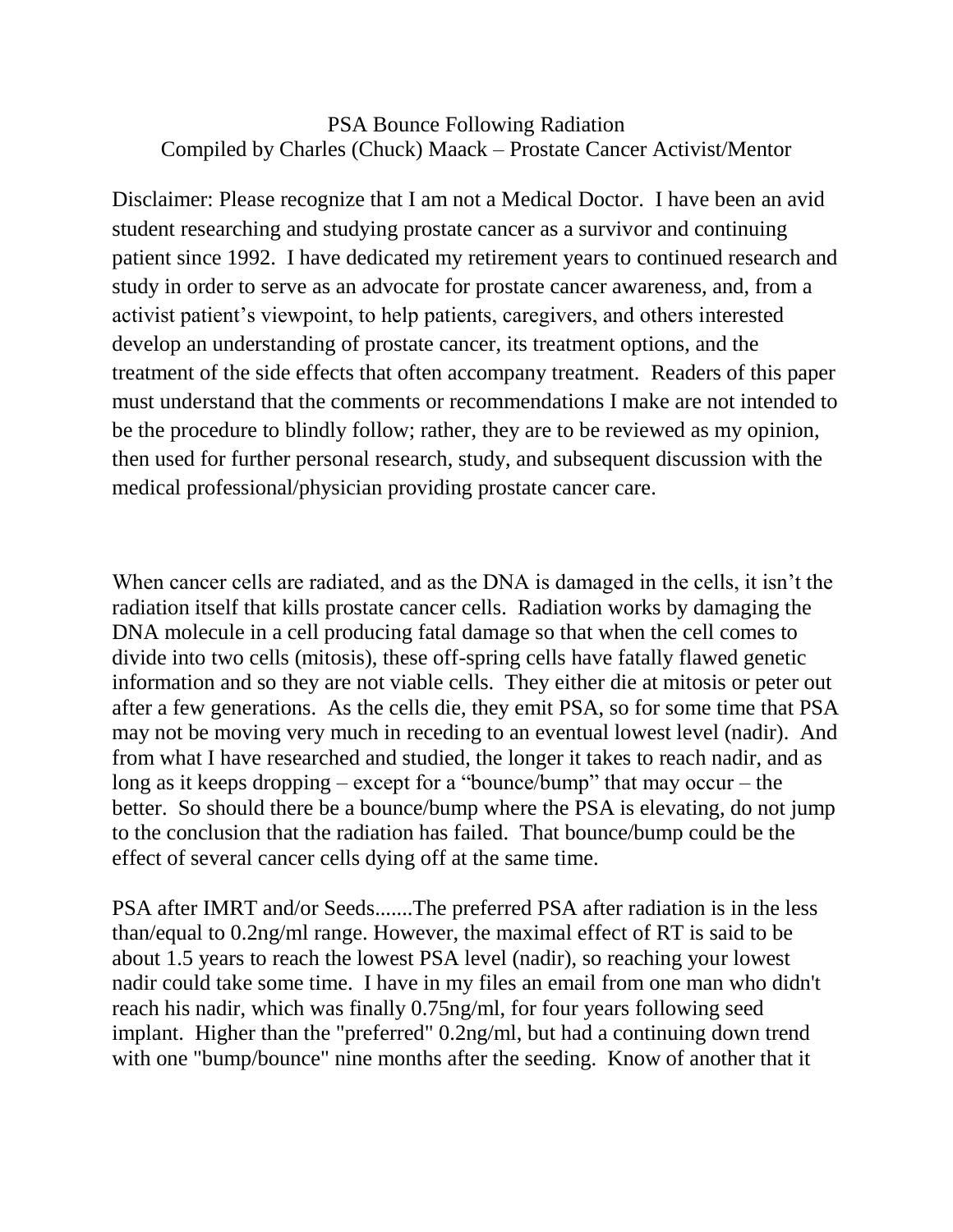## PSA Bounce Following Radiation Compiled by Charles (Chuck) Maack – Prostate Cancer Activist/Mentor

Disclaimer: Please recognize that I am not a Medical Doctor. I have been an avid student researching and studying prostate cancer as a survivor and continuing patient since 1992. I have dedicated my retirement years to continued research and study in order to serve as an advocate for prostate cancer awareness, and, from a activist patient's viewpoint, to help patients, caregivers, and others interested develop an understanding of prostate cancer, its treatment options, and the treatment of the side effects that often accompany treatment. Readers of this paper must understand that the comments or recommendations I make are not intended to be the procedure to blindly follow; rather, they are to be reviewed as my opinion, then used for further personal research, study, and subsequent discussion with the medical professional/physician providing prostate cancer care.

When cancer cells are radiated, and as the DNA is damaged in the cells, it isn't the radiation itself that kills prostate cancer cells. Radiation works by damaging the DNA molecule in a cell producing fatal damage so that when the cell comes to divide into two cells (mitosis), these off-spring cells have fatally flawed genetic information and so they are not viable cells. They either die at mitosis or peter out after a few generations. As the cells die, they emit PSA, so for some time that PSA may not be moving very much in receding to an eventual lowest level (nadir). And from what I have researched and studied, the longer it takes to reach nadir, and as long as it keeps dropping – except for a "bounce/bump" that may occur – the better. So should there be a bounce/bump where the PSA is elevating, do not jump to the conclusion that the radiation has failed. That bounce/bump could be the effect of several cancer cells dying off at the same time.

PSA after IMRT and/or Seeds.......The preferred PSA after radiation is in the less than/equal to 0.2ng/ml range. However, the maximal effect of RT is said to be about 1.5 years to reach the lowest PSA level (nadir), so reaching your lowest nadir could take some time. I have in my files an email from one man who didn't reach his nadir, which was finally 0.75ng/ml, for four years following seed implant. Higher than the "preferred" 0.2ng/ml, but had a continuing down trend with one "bump/bounce" nine months after the seeding. Know of another that it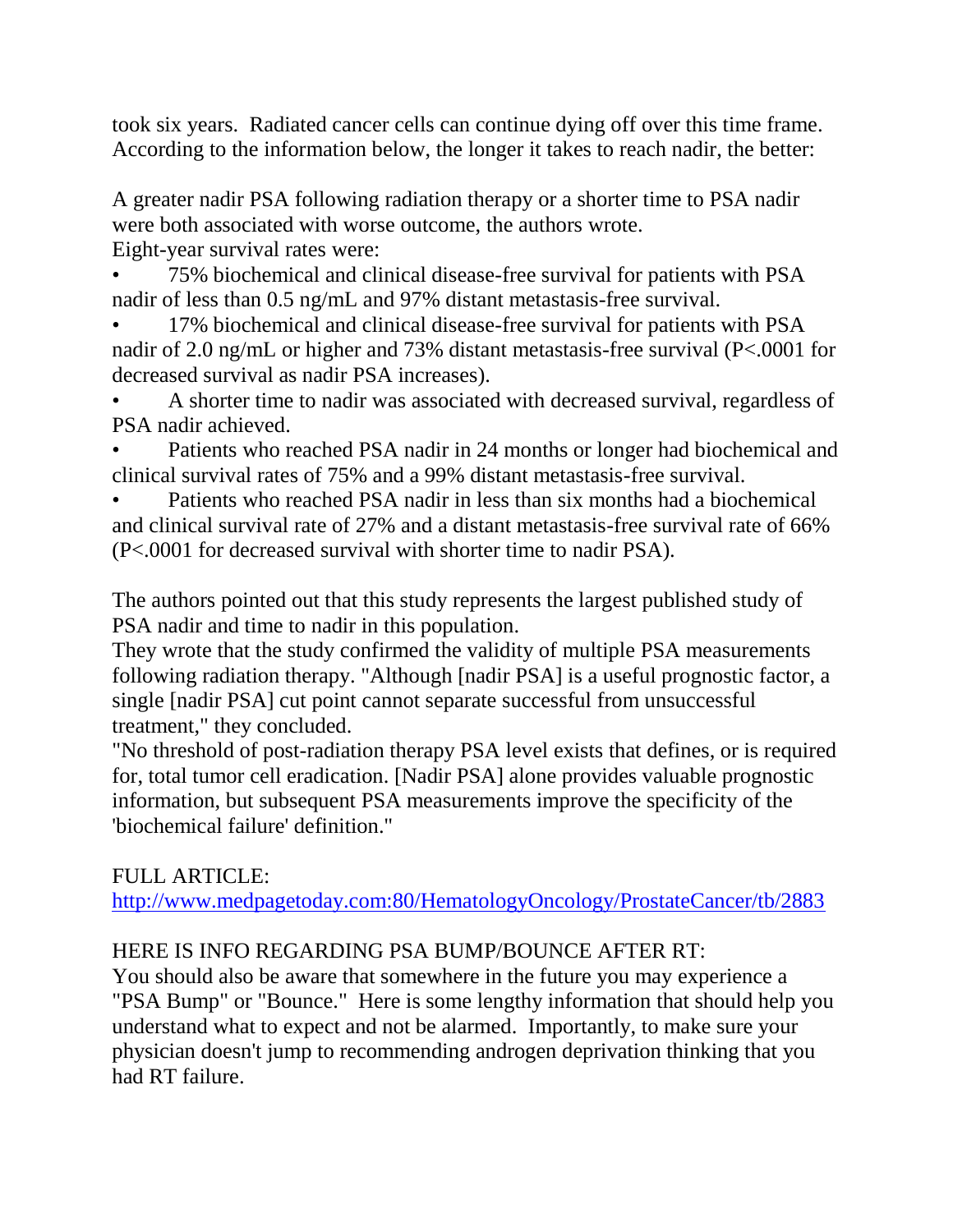took six years. Radiated cancer cells can continue dying off over this time frame. According to the information below, the longer it takes to reach nadir, the better:

A greater nadir PSA following radiation therapy or a shorter time to PSA nadir were both associated with worse outcome, the authors wrote. Eight-year survival rates were:

• 75% biochemical and clinical disease-free survival for patients with PSA nadir of less than 0.5 ng/mL and 97% distant metastasis-free survival.

- 17% biochemical and clinical disease-free survival for patients with PSA nadir of 2.0 ng/mL or higher and 73% distant metastasis-free survival (P<.0001 for decreased survival as nadir PSA increases).
- A shorter time to nadir was associated with decreased survival, regardless of PSA nadir achieved.
- Patients who reached PSA nadir in 24 months or longer had biochemical and clinical survival rates of 75% and a 99% distant metastasis-free survival.
- Patients who reached PSA nadir in less than six months had a biochemical and clinical survival rate of 27% and a distant metastasis-free survival rate of 66% (P<.0001 for decreased survival with shorter time to nadir PSA).

The authors pointed out that this study represents the largest published study of PSA nadir and time to nadir in this population.

They wrote that the study confirmed the validity of multiple PSA measurements following radiation therapy. "Although [nadir PSA] is a useful prognostic factor, a single [nadir PSA] cut point cannot separate successful from unsuccessful treatment," they concluded.

"No threshold of post-radiation therapy PSA level exists that defines, or is required for, total tumor cell eradication. [Nadir PSA] alone provides valuable prognostic information, but subsequent PSA measurements improve the specificity of the 'biochemical failure' definition."

## FULL ARTICLE:

[http://www.medpagetoday.com:80/HematologyOncology/ProstateCancer/tb/2883](http://www.medpagetoday.com/HematologyOncology/ProstateCancer/tb/2883)

## HERE IS INFO REGARDING PSA BUMP/BOUNCE AFTER RT:

You should also be aware that somewhere in the future you may experience a "PSA Bump" or "Bounce." Here is some lengthy information that should help you understand what to expect and not be alarmed. Importantly, to make sure your physician doesn't jump to recommending androgen deprivation thinking that you had RT failure.